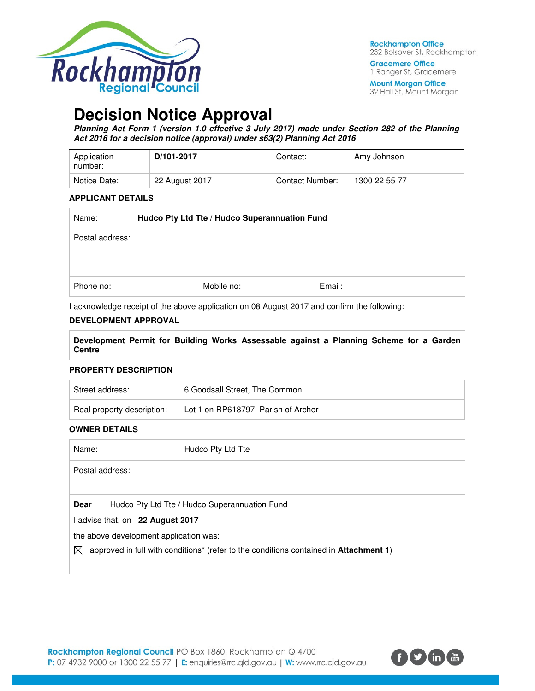

**Gracemere Office** 1 Ranger St, Gracemere

**Mount Morgan Office** 32 Hall St, Mount Morgan

# **Decision Notice Approval**

**Planning Act Form 1 (version 1.0 effective 3 July 2017) made under Section 282 of the Planning Act 2016 for a decision notice (approval) under s63(2) Planning Act 2016** 

| Application<br>number: | D/101-2017     | Contact:        | Amy Johnson   |
|------------------------|----------------|-----------------|---------------|
| Notice Date:           | 22 August 2017 | Contact Number: | 1300 22 55 77 |

#### **APPLICANT DETAILS**

| Name:           | Hudco Pty Ltd Tte / Hudco Superannuation Fund |            |        |  |  |
|-----------------|-----------------------------------------------|------------|--------|--|--|
| Postal address: |                                               |            |        |  |  |
|                 |                                               |            |        |  |  |
|                 |                                               |            |        |  |  |
| Phone no:       |                                               | Mobile no: | Email: |  |  |

I acknowledge receipt of the above application on 08 August 2017 and confirm the following:

#### **DEVELOPMENT APPROVAL**

**Development Permit for Building Works Assessable against a Planning Scheme for a Garden Centre** 

#### **PROPERTY DESCRIPTION**

| Street address:            | 6 Goodsall Street, The Common       |
|----------------------------|-------------------------------------|
| Real property description: | Lot 1 on RP618797, Parish of Archer |

#### **OWNER DETAILS**

| Name:           | Hudco Pty Ltd Tte                                                                                         |
|-----------------|-----------------------------------------------------------------------------------------------------------|
| Postal address: |                                                                                                           |
|                 |                                                                                                           |
| <b>Dear</b>     | Hudco Pty Ltd Tte / Hudco Superannuation Fund                                                             |
|                 | I advise that, on 22 August 2017                                                                          |
|                 | the above development application was:                                                                    |
| $\bowtie$       | approved in full with conditions <sup>*</sup> (refer to the conditions contained in <b>Attachment 1</b> ) |
|                 |                                                                                                           |

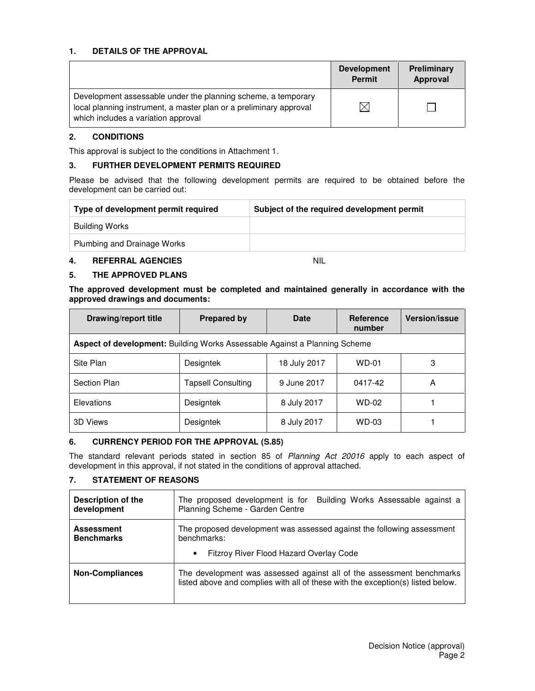#### **1. DETAILS OF THE APPROVAL**

|                                                                                                                                                                            | <b>Development</b><br><b>Permit</b> | Preliminary<br>Approval |
|----------------------------------------------------------------------------------------------------------------------------------------------------------------------------|-------------------------------------|-------------------------|
| Development assessable under the planning scheme, a temporary<br>local planning instrument, a master plan or a preliminary approval<br>which includes a variation approval | $\times$                            |                         |

#### **2. CONDITIONS**

This approval is subject to the conditions in Attachment 1.

#### **3. FURTHER DEVELOPMENT PERMITS REQUIRED**

Please be advised that the following development permits are required to be obtained before the development can be carried out:

| Type of development permit required | Subject of the required development permit |  |
|-------------------------------------|--------------------------------------------|--|
| Building Works                      |                                            |  |
| Plumbing and Drainage Works         |                                            |  |

#### **4. REFERRAL AGENCIES** NIL

#### **5. THE APPROVED PLANS**

**The approved development must be completed and maintained generally in accordance with the approved drawings and documents:** 

| Drawing/report title                                                       | <b>Prepared by</b>        | Date         | <b>Reference</b><br>number | <b>Version/issue</b> |  |
|----------------------------------------------------------------------------|---------------------------|--------------|----------------------------|----------------------|--|
| Aspect of development: Building Works Assessable Against a Planning Scheme |                           |              |                            |                      |  |
| Site Plan                                                                  | <b>Designtek</b>          | 18 July 2017 | $WD-01$                    | 3                    |  |
| Section Plan                                                               | <b>Tapsell Consulting</b> | 9 June 2017  | 0417-42                    | A                    |  |
| Elevations                                                                 | <b>Designtek</b>          | 8 July 2017  | <b>WD-02</b>               |                      |  |
| 3D Views                                                                   | <b>Designtek</b>          | 8 July 2017  | <b>WD-03</b>               |                      |  |

#### **6. CURRENCY PERIOD FOR THE APPROVAL (S.85)**

The standard relevant periods stated in section 85 of Planning Act 20016 apply to each aspect of development in this approval, if not stated in the conditions of approval attached.

## **7. STATEMENT OF REASONS**

| <b>Description of the</b><br>development | The proposed development is for<br>Building Works Assessable against a<br>Planning Scheme - Garden Centre                                                |  |  |  |
|------------------------------------------|----------------------------------------------------------------------------------------------------------------------------------------------------------|--|--|--|
| <b>Assessment</b><br><b>Benchmarks</b>   | The proposed development was assessed against the following assessment<br>benchmarks:                                                                    |  |  |  |
|                                          | Fitzroy River Flood Hazard Overlay Code<br>$\bullet$                                                                                                     |  |  |  |
| <b>Non-Compliances</b>                   | The development was assessed against all of the assessment benchmarks<br>listed above and complies with all of these with the exception(s) listed below. |  |  |  |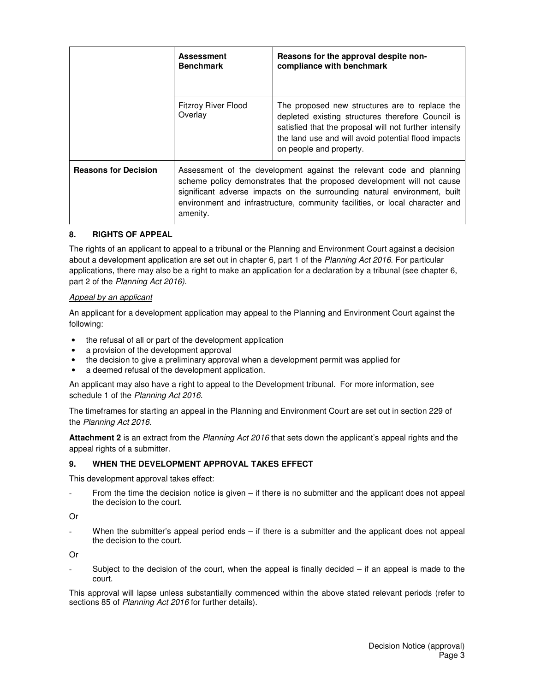|                             | <b>Assessment</b><br><b>Benchmark</b>                                                                                                                                                                                                                                                                                    | Reasons for the approval despite non-<br>compliance with benchmark                                                                                                                                                                              |
|-----------------------------|--------------------------------------------------------------------------------------------------------------------------------------------------------------------------------------------------------------------------------------------------------------------------------------------------------------------------|-------------------------------------------------------------------------------------------------------------------------------------------------------------------------------------------------------------------------------------------------|
|                             | <b>Fitzroy River Flood</b><br>Overlay                                                                                                                                                                                                                                                                                    | The proposed new structures are to replace the<br>depleted existing structures therefore Council is<br>satisfied that the proposal will not further intensify<br>the land use and will avoid potential flood impacts<br>on people and property. |
| <b>Reasons for Decision</b> | Assessment of the development against the relevant code and planning<br>scheme policy demonstrates that the proposed development will not cause<br>significant adverse impacts on the surrounding natural environment, built<br>environment and infrastructure, community facilities, or local character and<br>amenity. |                                                                                                                                                                                                                                                 |

#### **8. RIGHTS OF APPEAL**

The rights of an applicant to appeal to a tribunal or the Planning and Environment Court against a decision about a development application are set out in chapter 6, part 1 of the Planning Act 2016. For particular applications, there may also be a right to make an application for a declaration by a tribunal (see chapter 6, part 2 of the Planning Act 2016).

#### Appeal by an applicant

An applicant for a development application may appeal to the Planning and Environment Court against the following:

- the refusal of all or part of the development application
- a provision of the development approval
- the decision to give a preliminary approval when a development permit was applied for
- a deemed refusal of the development application.

An applicant may also have a right to appeal to the Development tribunal. For more information, see schedule 1 of the Planning Act 2016.

The timeframes for starting an appeal in the Planning and Environment Court are set out in section 229 of the Planning Act 2016.

**Attachment 2** is an extract from the Planning Act 2016 that sets down the applicant's appeal rights and the appeal rights of a submitter.

#### **9. WHEN THE DEVELOPMENT APPROVAL TAKES EFFECT**

This development approval takes effect:

From the time the decision notice is given – if there is no submitter and the applicant does not appeal the decision to the court.

Or

When the submitter's appeal period ends  $-$  if there is a submitter and the applicant does not appeal the decision to the court.

Or

Subject to the decision of the court, when the appeal is finally decided  $-$  if an appeal is made to the court.

This approval will lapse unless substantially commenced within the above stated relevant periods (refer to sections 85 of Planning Act 2016 for further details).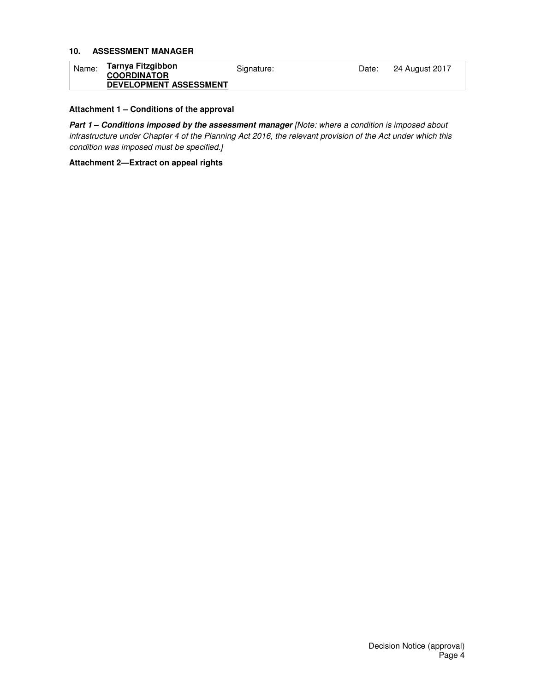#### **10. ASSESSMENT MANAGER**

| Name: | Tarnya Fitzgibbon             | Signature: | Date: | 24 August 2017 |
|-------|-------------------------------|------------|-------|----------------|
|       | <b>COORDINATOR</b>            |            |       |                |
|       | <b>DEVELOPMENT ASSESSMENT</b> |            |       |                |

#### **Attachment 1 – Conditions of the approval**

Part 1 - Conditions imposed by the assessment manager [Note: where a condition is imposed about infrastructure under Chapter 4 of the Planning Act 2016, the relevant provision of the Act under which this condition was imposed must be specified.]

**Attachment 2—Extract on appeal rights**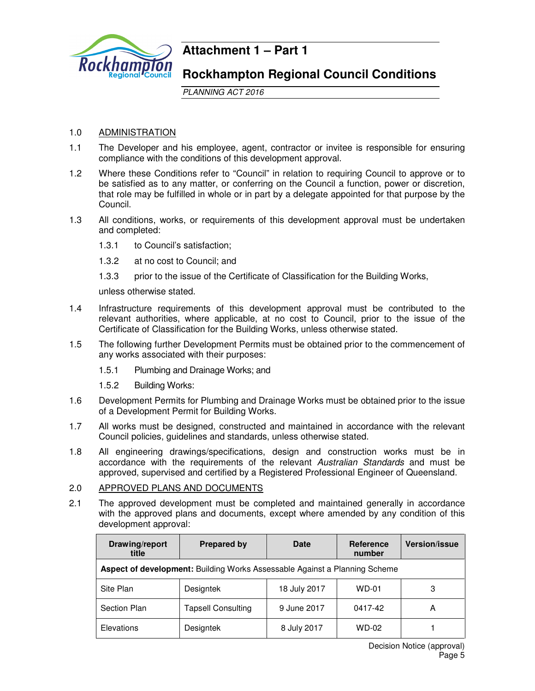

# **Attachment 1 – Part 1**

# **Rockhampton Regional Council Conditions**

PLANNING ACT 2016

## 1.0 ADMINISTRATION

- 1.1 The Developer and his employee, agent, contractor or invitee is responsible for ensuring compliance with the conditions of this development approval.
- 1.2 Where these Conditions refer to "Council" in relation to requiring Council to approve or to be satisfied as to any matter, or conferring on the Council a function, power or discretion, that role may be fulfilled in whole or in part by a delegate appointed for that purpose by the Council.
- 1.3 All conditions, works, or requirements of this development approval must be undertaken and completed:
	- 1.3.1 to Council's satisfaction;
	- 1.3.2 at no cost to Council; and
	- 1.3.3 prior to the issue of the Certificate of Classification for the Building Works,

unless otherwise stated.

- 1.4 Infrastructure requirements of this development approval must be contributed to the relevant authorities, where applicable, at no cost to Council, prior to the issue of the Certificate of Classification for the Building Works, unless otherwise stated.
- 1.5 The following further Development Permits must be obtained prior to the commencement of any works associated with their purposes:
	- 1.5.1 Plumbing and Drainage Works; and
	- 1.5.2 Building Works:
- 1.6 Development Permits for Plumbing and Drainage Works must be obtained prior to the issue of a Development Permit for Building Works.
- 1.7 All works must be designed, constructed and maintained in accordance with the relevant Council policies, guidelines and standards, unless otherwise stated.
- 1.8 All engineering drawings/specifications, design and construction works must be in accordance with the requirements of the relevant Australian Standards and must be approved, supervised and certified by a Registered Professional Engineer of Queensland.

## 2.0 APPROVED PLANS AND DOCUMENTS

2.1 The approved development must be completed and maintained generally in accordance with the approved plans and documents, except where amended by any condition of this development approval:

| Drawing/report<br>title                                                    | <b>Prepared by</b>        | Date         | <b>Reference</b><br>number | <b>Version/issue</b> |
|----------------------------------------------------------------------------|---------------------------|--------------|----------------------------|----------------------|
| Aspect of development: Building Works Assessable Against a Planning Scheme |                           |              |                            |                      |
| Site Plan                                                                  | <b>Designtek</b>          | 18 July 2017 | WD-01                      | 3                    |
| Section Plan                                                               | <b>Tapsell Consulting</b> | 9 June 2017  | 0417-42                    | Α                    |
| Elevations                                                                 | Designtek                 | 8 July 2017  | WD-02                      |                      |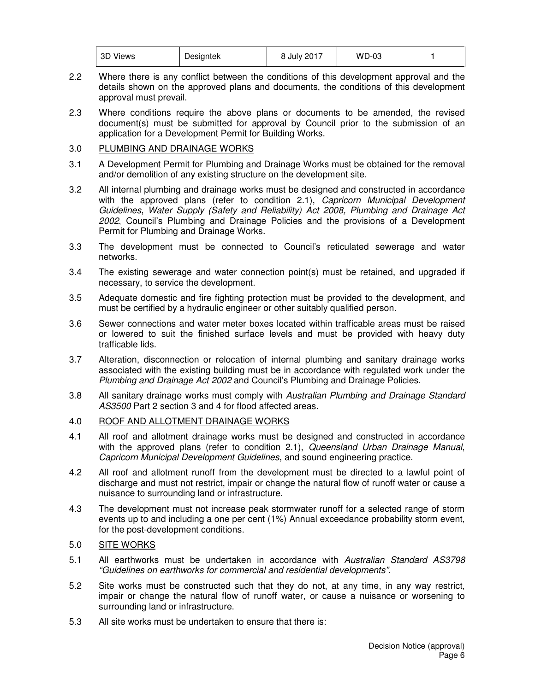| 3D Views | Designtek | 8 July 2017 | <b>WD-03</b> |  |
|----------|-----------|-------------|--------------|--|
|----------|-----------|-------------|--------------|--|

- 2.2 Where there is any conflict between the conditions of this development approval and the details shown on the approved plans and documents, the conditions of this development approval must prevail.
- 2.3 Where conditions require the above plans or documents to be amended, the revised document(s) must be submitted for approval by Council prior to the submission of an application for a Development Permit for Building Works.

## 3.0 PLUMBING AND DRAINAGE WORKS

- 3.1 A Development Permit for Plumbing and Drainage Works must be obtained for the removal and/or demolition of any existing structure on the development site.
- 3.2 All internal plumbing and drainage works must be designed and constructed in accordance with the approved plans (refer to condition 2.1), Capricorn Municipal Development Guidelines, Water Supply (Safety and Reliability) Act 2008, Plumbing and Drainage Act 2002, Council's Plumbing and Drainage Policies and the provisions of a Development Permit for Plumbing and Drainage Works.
- 3.3 The development must be connected to Council's reticulated sewerage and water networks.
- 3.4 The existing sewerage and water connection point(s) must be retained, and upgraded if necessary, to service the development.
- 3.5 Adequate domestic and fire fighting protection must be provided to the development, and must be certified by a hydraulic engineer or other suitably qualified person.
- 3.6 Sewer connections and water meter boxes located within trafficable areas must be raised or lowered to suit the finished surface levels and must be provided with heavy duty trafficable lids.
- 3.7 Alteration, disconnection or relocation of internal plumbing and sanitary drainage works associated with the existing building must be in accordance with regulated work under the Plumbing and Drainage Act 2002 and Council's Plumbing and Drainage Policies.
- 3.8 All sanitary drainage works must comply with Australian Plumbing and Drainage Standard AS3500 Part 2 section 3 and 4 for flood affected areas.

## 4.0 ROOF AND ALLOTMENT DRAINAGE WORKS

- 4.1 All roof and allotment drainage works must be designed and constructed in accordance with the approved plans (refer to condition 2.1), Queensland Urban Drainage Manual, Capricorn Municipal Development Guidelines, and sound engineering practice.
- 4.2 All roof and allotment runoff from the development must be directed to a lawful point of discharge and must not restrict, impair or change the natural flow of runoff water or cause a nuisance to surrounding land or infrastructure.
- 4.3 The development must not increase peak stormwater runoff for a selected range of storm events up to and including a one per cent (1%) Annual exceedance probability storm event, for the post-development conditions.

## 5.0 SITE WORKS

- 5.1 All earthworks must be undertaken in accordance with Australian Standard AS3798 "Guidelines on earthworks for commercial and residential developments".
- 5.2 Site works must be constructed such that they do not, at any time, in any way restrict, impair or change the natural flow of runoff water, or cause a nuisance or worsening to surrounding land or infrastructure.
- 5.3 All site works must be undertaken to ensure that there is: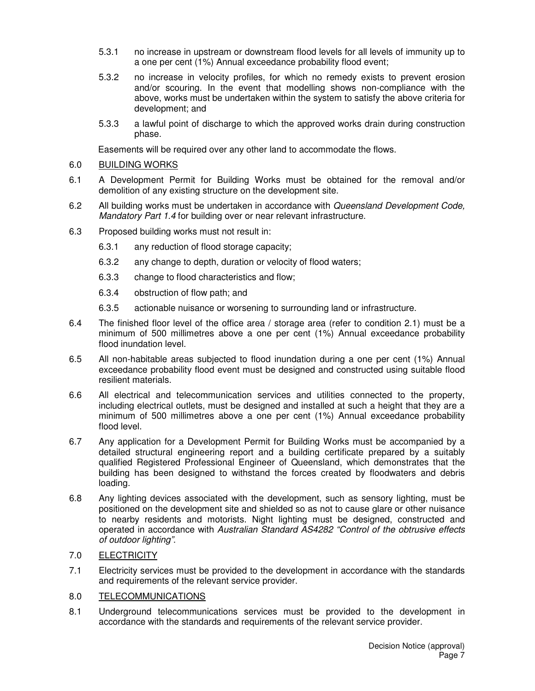- 5.3.1 no increase in upstream or downstream flood levels for all levels of immunity up to a one per cent (1%) Annual exceedance probability flood event;
- 5.3.2 no increase in velocity profiles, for which no remedy exists to prevent erosion and/or scouring. In the event that modelling shows non-compliance with the above, works must be undertaken within the system to satisfy the above criteria for development; and
- 5.3.3 a lawful point of discharge to which the approved works drain during construction phase.

Easements will be required over any other land to accommodate the flows.

#### 6.0 BUILDING WORKS

- 6.1 A Development Permit for Building Works must be obtained for the removal and/or demolition of any existing structure on the development site.
- 6.2 All building works must be undertaken in accordance with Queensland Development Code, Mandatory Part 1.4 for building over or near relevant infrastructure.
- 6.3 Proposed building works must not result in:
	- 6.3.1 any reduction of flood storage capacity;
	- 6.3.2 any change to depth, duration or velocity of flood waters;
	- 6.3.3 change to flood characteristics and flow;
	- 6.3.4 obstruction of flow path; and
	- 6.3.5 actionable nuisance or worsening to surrounding land or infrastructure.
- 6.4 The finished floor level of the office area / storage area (refer to condition 2.1) must be a minimum of 500 millimetres above a one per cent (1%) Annual exceedance probability flood inundation level.
- 6.5 All non-habitable areas subjected to flood inundation during a one per cent (1%) Annual exceedance probability flood event must be designed and constructed using suitable flood resilient materials.
- 6.6 All electrical and telecommunication services and utilities connected to the property, including electrical outlets, must be designed and installed at such a height that they are a minimum of 500 millimetres above a one per cent (1%) Annual exceedance probability flood level.
- 6.7 Any application for a Development Permit for Building Works must be accompanied by a detailed structural engineering report and a building certificate prepared by a suitably qualified Registered Professional Engineer of Queensland, which demonstrates that the building has been designed to withstand the forces created by floodwaters and debris loading.
- 6.8 Any lighting devices associated with the development, such as sensory lighting, must be positioned on the development site and shielded so as not to cause glare or other nuisance to nearby residents and motorists. Night lighting must be designed, constructed and operated in accordance with Australian Standard AS4282 "Control of the obtrusive effects of outdoor lighting".
- 7.0 ELECTRICITY
- 7.1 Electricity services must be provided to the development in accordance with the standards and requirements of the relevant service provider.
- 8.0 TELECOMMUNICATIONS
- 8.1 Underground telecommunications services must be provided to the development in accordance with the standards and requirements of the relevant service provider.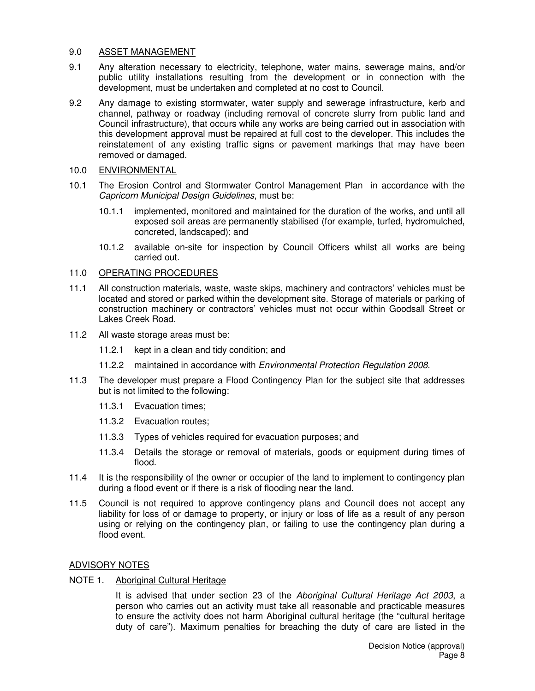#### 9.0 ASSET MANAGEMENT

- 9.1 Any alteration necessary to electricity, telephone, water mains, sewerage mains, and/or public utility installations resulting from the development or in connection with the development, must be undertaken and completed at no cost to Council.
- 9.2 Any damage to existing stormwater, water supply and sewerage infrastructure, kerb and channel, pathway or roadway (including removal of concrete slurry from public land and Council infrastructure), that occurs while any works are being carried out in association with this development approval must be repaired at full cost to the developer. This includes the reinstatement of any existing traffic signs or pavement markings that may have been removed or damaged.
- 10.0 ENVIRONMENTAL
- 10.1 The Erosion Control and Stormwater Control Management Plan in accordance with the Capricorn Municipal Design Guidelines, must be:
	- 10.1.1 implemented, monitored and maintained for the duration of the works, and until all exposed soil areas are permanently stabilised (for example, turfed, hydromulched, concreted, landscaped); and
	- 10.1.2 available on-site for inspection by Council Officers whilst all works are being carried out.

## 11.0 OPERATING PROCEDURES

- 11.1 All construction materials, waste, waste skips, machinery and contractors' vehicles must be located and stored or parked within the development site. Storage of materials or parking of construction machinery or contractors' vehicles must not occur within Goodsall Street or Lakes Creek Road.
- 11.2 All waste storage areas must be:
	- 11.2.1 kept in a clean and tidy condition; and
	- 11.2.2 maintained in accordance with Environmental Protection Regulation 2008.
- 11.3 The developer must prepare a Flood Contingency Plan for the subject site that addresses but is not limited to the following:
	- 11.3.1 Evacuation times;
	- 11.3.2 Evacuation routes;
	- 11.3.3 Types of vehicles required for evacuation purposes; and
	- 11.3.4 Details the storage or removal of materials, goods or equipment during times of flood.
- 11.4 It is the responsibility of the owner or occupier of the land to implement to contingency plan during a flood event or if there is a risk of flooding near the land.
- 11.5 Council is not required to approve contingency plans and Council does not accept any liability for loss of or damage to property, or injury or loss of life as a result of any person using or relying on the contingency plan, or failing to use the contingency plan during a flood event.

## ADVISORY NOTES

NOTE 1. Aboriginal Cultural Heritage

It is advised that under section 23 of the Aboriginal Cultural Heritage Act 2003, a person who carries out an activity must take all reasonable and practicable measures to ensure the activity does not harm Aboriginal cultural heritage (the "cultural heritage duty of care"). Maximum penalties for breaching the duty of care are listed in the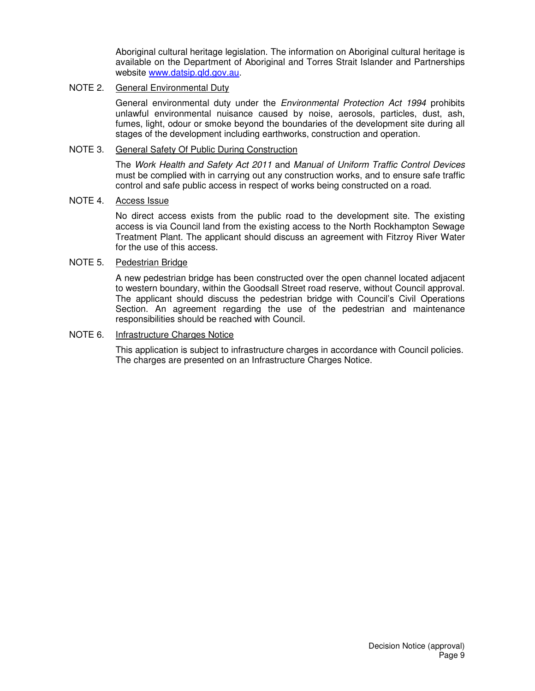Aboriginal cultural heritage legislation. The information on Aboriginal cultural heritage is available on the Department of Aboriginal and Torres Strait Islander and Partnerships website www.datsip.qld.gov.au.

#### NOTE 2. General Environmental Duty

General environmental duty under the *Environmental Protection Act 1994* prohibits unlawful environmental nuisance caused by noise, aerosols, particles, dust, ash, fumes, light, odour or smoke beyond the boundaries of the development site during all stages of the development including earthworks, construction and operation.

#### NOTE 3. General Safety Of Public During Construction

The Work Health and Safety Act 2011 and Manual of Uniform Traffic Control Devices must be complied with in carrying out any construction works, and to ensure safe traffic control and safe public access in respect of works being constructed on a road.

## NOTE 4. Access Issue

No direct access exists from the public road to the development site. The existing access is via Council land from the existing access to the North Rockhampton Sewage Treatment Plant. The applicant should discuss an agreement with Fitzroy River Water for the use of this access.

#### NOTE 5. Pedestrian Bridge

A new pedestrian bridge has been constructed over the open channel located adjacent to western boundary, within the Goodsall Street road reserve, without Council approval. The applicant should discuss the pedestrian bridge with Council's Civil Operations Section. An agreement regarding the use of the pedestrian and maintenance responsibilities should be reached with Council.

#### NOTE 6. Infrastructure Charges Notice

This application is subject to infrastructure charges in accordance with Council policies. The charges are presented on an Infrastructure Charges Notice.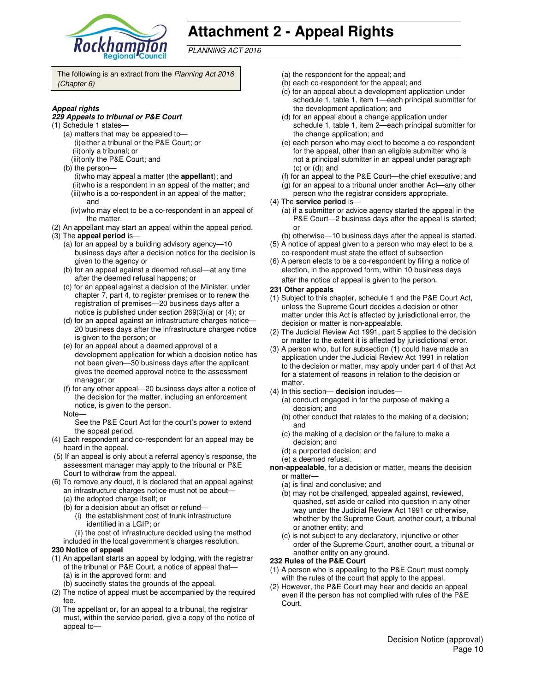

# **Attachment 2 - Appeal Rights**

PLANNING ACT 2016

The following is an extract from the Planning Act 2016 (Chapter 6)

#### **Appeal rights**

#### **229 Appeals to tribunal or P&E Court**

- (1) Schedule 1 states—
	- (a) matters that may be appealed to— (i) either a tribunal or the P&E Court; or (ii) only a tribunal; or
	- (iii) only the P&E Court; and
	- (b) the person—
		- (i) who may appeal a matter (the **appellant**); and (ii) who is a respondent in an appeal of the matter; and (iii) who is a co-respondent in an appeal of the matter;
		- and (iv) who may elect to be a co-respondent in an appeal of
	- the matter.
- (2) An appellant may start an appeal within the appeal period. (3) The **appeal period** is—
	- (a) for an appeal by a building advisory agency—10 business days after a decision notice for the decision is given to the agency or
	- (b) for an appeal against a deemed refusal—at any time after the deemed refusal happens; or
	- (c) for an appeal against a decision of the Minister, under chapter 7, part 4, to register premises or to renew the registration of premises—20 business days after a notice is published under section 269(3)(a) or (4); or
	- (d) for an appeal against an infrastructure charges notice— 20 business days after the infrastructure charges notice is given to the person; or
	- (e) for an appeal about a deemed approval of a development application for which a decision notice has not been given—30 business days after the applicant gives the deemed approval notice to the assessment manager; or
	- (f) for any other appeal—20 business days after a notice of the decision for the matter, including an enforcement notice, is given to the person.
	- Note—

See the P&E Court Act for the court's power to extend the appeal period.

- (4) Each respondent and co-respondent for an appeal may be heard in the appeal.
- (5) If an appeal is only about a referral agency's response, the assessment manager may apply to the tribunal or P&E Court to withdraw from the appeal.
- (6) To remove any doubt, it is declared that an appeal against an infrastructure charges notice must not be about—
	- (a) the adopted charge itself; or
	- (b) for a decision about an offset or refund—
		- (i) the establishment cost of trunk infrastructure identified in a LGIP; or
		- (ii) the cost of infrastructure decided using the method
	- included in the local government's charges resolution.

#### **230 Notice of appeal**

- (1) An appellant starts an appeal by lodging, with the registrar of the tribunal or P&E Court, a notice of appeal that— (a) is in the approved form; and
	- (b) succinctly states the grounds of the appeal.
- (2) The notice of appeal must be accompanied by the required fee.
- (3) The appellant or, for an appeal to a tribunal, the registrar must, within the service period, give a copy of the notice of appeal to—
- (a) the respondent for the appeal; and
- (b) each co-respondent for the appeal; and
- (c) for an appeal about a development application under schedule 1, table 1, item 1—each principal submitter for the development application; and
- (d) for an appeal about a change application under schedule 1, table 1, item 2—each principal submitter for the change application; and
- (e) each person who may elect to become a co-respondent for the appeal, other than an eligible submitter who is not a principal submitter in an appeal under paragraph (c) or (d); and
- (f) for an appeal to the P&E Court—the chief executive; and
- (g) for an appeal to a tribunal under another Act—any other
- person who the registrar considers appropriate.
- (4) The **service period** is—
	- (a) if a submitter or advice agency started the appeal in the P&E Court—2 business days after the appeal is started; or
- (b) otherwise—10 business days after the appeal is started. (5) A notice of appeal given to a person who may elect to be a
- co-respondent must state the effect of subsection (6) A person elects to be a co-respondent by filing a notice of
- election, in the approved form, within 10 business days after the notice of appeal is given to the person*.*
- **231 Other appeals**
- (1) Subject to this chapter, schedule 1 and the P&E Court Act, unless the Supreme Court decides a decision or other matter under this Act is affected by jurisdictional error, the decision or matter is non-appealable.
- (2) The Judicial Review Act 1991, part 5 applies to the decision or matter to the extent it is affected by jurisdictional error.
- (3) A person who, but for subsection (1) could have made an application under the Judicial Review Act 1991 in relation to the decision or matter, may apply under part 4 of that Act for a statement of reasons in relation to the decision or matter.
- (4) In this section— **decision** includes—
	- (a) conduct engaged in for the purpose of making a decision; and
	- (b) other conduct that relates to the making of a decision; and
	- (c) the making of a decision or the failure to make a decision; and
	- (d) a purported decision; and
	- (e) a deemed refusal.
- **non-appealable**, for a decision or matter, means the decision or matter—
	- (a) is final and conclusive; and
	- (b) may not be challenged, appealed against, reviewed, quashed, set aside or called into question in any other way under the Judicial Review Act 1991 or otherwise, whether by the Supreme Court, another court, a tribunal or another entity; and
	- (c) is not subject to any declaratory, injunctive or other order of the Supreme Court, another court, a tribunal or another entity on any ground.

#### **232 Rules of the P&E Court**

- (1) A person who is appealing to the P&E Court must comply with the rules of the court that apply to the appeal.
- (2) However, the P&E Court may hear and decide an appeal even if the person has not complied with rules of the P&E Court.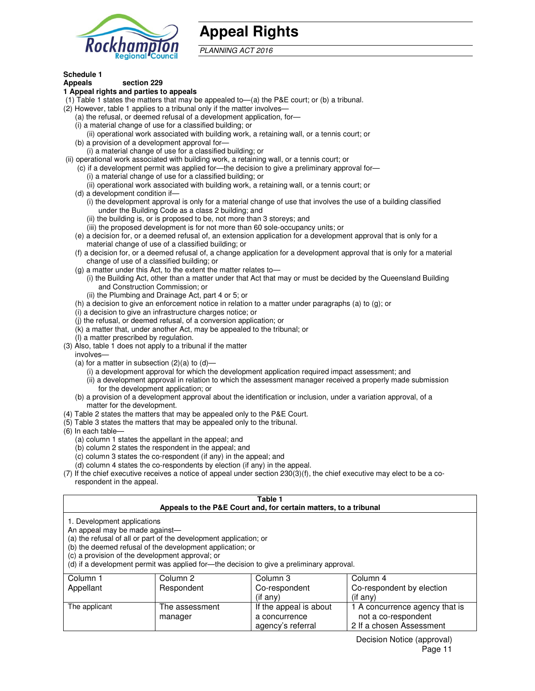

# **Appeal Rights**

PLANNING ACT 2016

#### **Schedule 1 Appeals section 229**

## **1 Appeal rights and parties to appeals**

- (1) Table 1 states the matters that may be appealed to—(a) the P&E court; or (b) a tribunal.
- (2) However, table 1 applies to a tribunal only if the matter involves—
	- (a) the refusal, or deemed refusal of a development application, for—
	- (i) a material change of use for a classified building; or
	- (ii) operational work associated with building work, a retaining wall, or a tennis court; or
	- (b) a provision of a development approval for— (i) a material change of use for a classified building; or
- (ii) operational work associated with building work, a retaining wall, or a tennis court; or
	- (c) if a development permit was applied for—the decision to give a preliminary approval for—
		- (i) a material change of use for a classified building; or
		- (ii) operational work associated with building work, a retaining wall, or a tennis court; or
	- (d) a development condition if—
		- (i) the development approval is only for a material change of use that involves the use of a building classified under the Building Code as a class 2 building; and
		- (ii) the building is, or is proposed to be, not more than 3 storeys; and
		- (iii) the proposed development is for not more than 60 sole-occupancy units; or
	- (e) a decision for, or a deemed refusal of, an extension application for a development approval that is only for a material change of use of a classified building; or
	- (f) a decision for, or a deemed refusal of, a change application for a development approval that is only for a material change of use of a classified building; or
	- (g) a matter under this Act, to the extent the matter relates to—
		- (i) the Building Act, other than a matter under that Act that may or must be decided by the Queensland Building and Construction Commission; or
		- (ii) the Plumbing and Drainage Act, part 4 or 5; or
	- (h) a decision to give an enforcement notice in relation to a matter under paragraphs (a) to (g); or
	- (i) a decision to give an infrastructure charges notice; or
	- (j) the refusal, or deemed refusal, of a conversion application; or
	- (k) a matter that, under another Act, may be appealed to the tribunal; or
	- (l) a matter prescribed by regulation.
- (3) Also, table 1 does not apply to a tribunal if the matter
- involves—
	- (a) for a matter in subsection  $(2)(a)$  to  $(d)$ 
		- (i) a development approval for which the development application required impact assessment; and
		- (ii) a development approval in relation to which the assessment manager received a properly made submission for the development application; or
	- (b) a provision of a development approval about the identification or inclusion, under a variation approval, of a matter for the development.
- (4) Table 2 states the matters that may be appealed only to the P&E Court.
- (5) Table 3 states the matters that may be appealed only to the tribunal.
- (6) In each table—
	- (a) column 1 states the appellant in the appeal; and
	- (b) column 2 states the respondent in the appeal; and
	- (c) column 3 states the co-respondent (if any) in the appeal; and
	- (d) column 4 states the co-respondents by election (if any) in the appeal.
- (7) If the chief executive receives a notice of appeal under section 230(3)(f), the chief executive may elect to be a corespondent in the appeal.

#### **Table 1 Appeals to the P&E Court and, for certain matters, to a tribunal**

| 1. Development applications |  |  |  |
|-----------------------------|--|--|--|
|                             |  |  |  |

An appeal may be made against—

(a) the refusal of all or part of the development application; or

(b) the deemed refusal of the development application; or

(c) a provision of the development approval; or

(d) if a development permit was applied for—the decision to give a preliminary approval.

| Column 1      | Column 2       | Column 3               | Column 4                       |
|---------------|----------------|------------------------|--------------------------------|
| Appellant     | Respondent     | Co-respondent          | Co-respondent by election      |
|               |                | $($ if any $)$         | $(if$ any)                     |
| The applicant | The assessment | If the appeal is about | 1 A concurrence agency that is |
|               | manager        | a concurrence          | not a co-respondent            |
|               |                | agency's referral      | 2 If a chosen Assessment       |

Decision Notice (approval) Page 11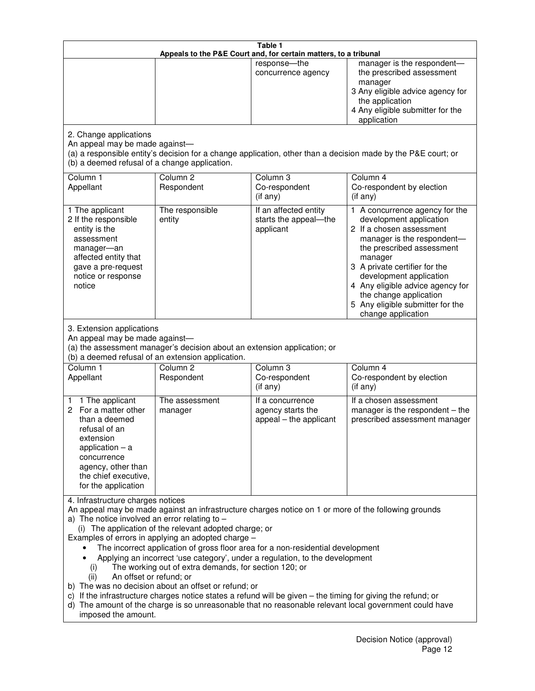|                                                                                                                                                                                                      |                                                                                                                                                                                                                               | Table 1<br>Appeals to the P&E Court and, for certain matters, to a tribunal                                                                                                                                                                                                     |                                                                                                                                                                                                                                                                                                                                                 |
|------------------------------------------------------------------------------------------------------------------------------------------------------------------------------------------------------|-------------------------------------------------------------------------------------------------------------------------------------------------------------------------------------------------------------------------------|---------------------------------------------------------------------------------------------------------------------------------------------------------------------------------------------------------------------------------------------------------------------------------|-------------------------------------------------------------------------------------------------------------------------------------------------------------------------------------------------------------------------------------------------------------------------------------------------------------------------------------------------|
|                                                                                                                                                                                                      |                                                                                                                                                                                                                               | response-the<br>concurrence agency                                                                                                                                                                                                                                              | manager is the respondent-<br>the prescribed assessment<br>manager<br>3 Any eligible advice agency for<br>the application<br>4 Any eligible submitter for the<br>application                                                                                                                                                                    |
| 2. Change applications<br>An appeal may be made against-<br>(b) a deemed refusal of a change application.                                                                                            |                                                                                                                                                                                                                               |                                                                                                                                                                                                                                                                                 | (a) a responsible entity's decision for a change application, other than a decision made by the P&E court; or                                                                                                                                                                                                                                   |
| Column 1<br>Appellant                                                                                                                                                                                | Column <sub>2</sub><br>Respondent                                                                                                                                                                                             | Column <sub>3</sub><br>Co-respondent<br>(if any)                                                                                                                                                                                                                                | Column 4<br>Co-respondent by election<br>(if any)                                                                                                                                                                                                                                                                                               |
| 1 The applicant<br>2 If the responsible<br>entity is the<br>assessment<br>manager-an<br>affected entity that<br>gave a pre-request<br>notice or response<br>notice                                   | The responsible<br>entity                                                                                                                                                                                                     | If an affected entity<br>starts the appeal-the<br>applicant                                                                                                                                                                                                                     | 1 A concurrence agency for the<br>development application<br>2 If a chosen assessment<br>manager is the respondent-<br>the prescribed assessment<br>manager<br>3 A private certifier for the<br>development application<br>4 Any eligible advice agency for<br>the change application<br>5 Any eligible submitter for the<br>change application |
| 3. Extension applications<br>An appeal may be made against-<br>Column 1<br>Appellant                                                                                                                 | (a) the assessment manager's decision about an extension application; or<br>(b) a deemed refusal of an extension application.<br>Column <sub>2</sub><br>Respondent                                                            | Column <sub>3</sub><br>Co-respondent                                                                                                                                                                                                                                            | Column 4<br>Co-respondent by election                                                                                                                                                                                                                                                                                                           |
| 1 The applicant<br>1<br>2 For a matter other<br>than a deemed<br>refusal of an<br>extension<br>application $-$ a<br>concurrence<br>agency, other than<br>the chief executive,<br>for the application | The assessment<br>manager                                                                                                                                                                                                     | (if any)<br>If a concurrence<br>agency starts the<br>appeal – the applicant                                                                                                                                                                                                     | (if any)<br>If a chosen assessment<br>manager is the respondent - the<br>prescribed assessment manager                                                                                                                                                                                                                                          |
| 4. Infrastructure charges notices<br>a) The notice involved an error relating to $-$<br>(i)<br>An offset or refund; or<br>(ii)<br>imposed the amount.                                                | (i) The application of the relevant adopted charge; or<br>Examples of errors in applying an adopted charge -<br>The working out of extra demands, for section 120; or<br>b) The was no decision about an offset or refund; or | The incorrect application of gross floor area for a non-residential development<br>Applying an incorrect 'use category', under a regulation, to the development<br>c) If the infrastructure charges notice states a refund will be given - the timing for giving the refund; or | An appeal may be made against an infrastructure charges notice on 1 or more of the following grounds<br>d) The amount of the charge is so unreasonable that no reasonable relevant local government could have                                                                                                                                  |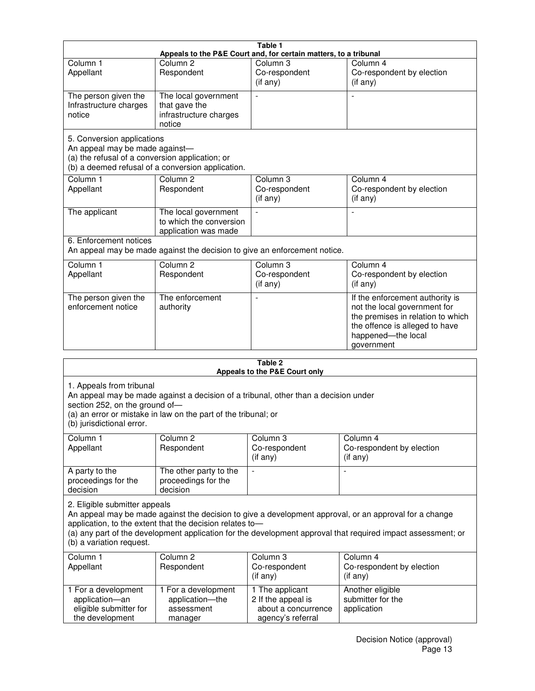| Table 1<br>Appeals to the P&E Court and, for certain matters, to a tribunal                                     |                                                                           |                                                  |                                                                                                                                                                            |  |
|-----------------------------------------------------------------------------------------------------------------|---------------------------------------------------------------------------|--------------------------------------------------|----------------------------------------------------------------------------------------------------------------------------------------------------------------------------|--|
| Column <sub>1</sub><br>Appellant                                                                                | Column <sub>2</sub><br>Respondent                                         | Column 3<br>Co-respondent<br>(if any)            | Column 4<br>Co-respondent by election<br>(if any)                                                                                                                          |  |
| The person given the<br>Infrastructure charges<br>notice                                                        | The local government<br>that gave the<br>infrastructure charges<br>notice | Ĭ.                                               |                                                                                                                                                                            |  |
| 5. Conversion applications<br>An appeal may be made against-<br>(a) the refusal of a conversion application; or | (b) a deemed refusal of a conversion application.                         |                                                  |                                                                                                                                                                            |  |
| Column <sub>1</sub><br>Appellant                                                                                | Column <sub>2</sub><br>Respondent                                         | Column <sub>3</sub><br>Co-respondent<br>(if any) | Column 4<br>Co-respondent by election<br>(if any)                                                                                                                          |  |
| The applicant                                                                                                   | The local government<br>to which the conversion<br>application was made   |                                                  |                                                                                                                                                                            |  |
| 6. Enforcement notices<br>An appeal may be made against the decision to give an enforcement notice.             |                                                                           |                                                  |                                                                                                                                                                            |  |
| Column <sub>1</sub><br>Appellant                                                                                | Column <sub>2</sub><br>Respondent                                         | Column 3<br>Co-respondent<br>(if any)            | Column 4<br>Co-respondent by election<br>(if any)                                                                                                                          |  |
| The person given the<br>enforcement notice                                                                      | The enforcement<br>authority                                              |                                                  | If the enforcement authority is<br>not the local government for<br>the premises in relation to which<br>the offence is alleged to have<br>happened-the local<br>government |  |
| 2 Tahle                                                                                                         |                                                                           |                                                  |                                                                                                                                                                            |  |

| i avit 4<br>Appeals to the P&E Court only                                                                                                                                                                                                                                                                                                       |                                                                 |                                                                                   |                                                      |  |
|-------------------------------------------------------------------------------------------------------------------------------------------------------------------------------------------------------------------------------------------------------------------------------------------------------------------------------------------------|-----------------------------------------------------------------|-----------------------------------------------------------------------------------|------------------------------------------------------|--|
| 1. Appeals from tribunal<br>An appeal may be made against a decision of a tribunal, other than a decision under<br>section 252, on the ground of-<br>(a) an error or mistake in law on the part of the tribunal; or<br>(b) jurisdictional error.                                                                                                |                                                                 |                                                                                   |                                                      |  |
| Column 1<br>Appellant                                                                                                                                                                                                                                                                                                                           | Column <sub>2</sub><br>Respondent                               | Column 3<br>Co-respondent<br>(i f any)                                            | Column 4<br>Co-respondent by election<br>(i f any)   |  |
| A party to the<br>proceedings for the<br>decision                                                                                                                                                                                                                                                                                               | The other party to the<br>proceedings for the<br>decision       | $\overline{a}$                                                                    |                                                      |  |
| 2. Eligible submitter appeals<br>An appeal may be made against the decision to give a development approval, or an approval for a change<br>application, to the extent that the decision relates to-<br>(a) any part of the development application for the development approval that required impact assessment; or<br>(b) a variation request. |                                                                 |                                                                                   |                                                      |  |
| Column 1<br>Appellant                                                                                                                                                                                                                                                                                                                           | Column <sub>2</sub><br>Respondent                               | Column 3<br>Co-respondent<br>(i f any)                                            | Column 4<br>Co-respondent by election<br>(i f any)   |  |
| 1 For a development<br>application-an<br>eligible submitter for<br>the development                                                                                                                                                                                                                                                              | 1 For a development<br>application-the<br>assessment<br>manager | 1 The applicant<br>2 If the appeal is<br>about a concurrence<br>agency's referral | Another eligible<br>submitter for the<br>application |  |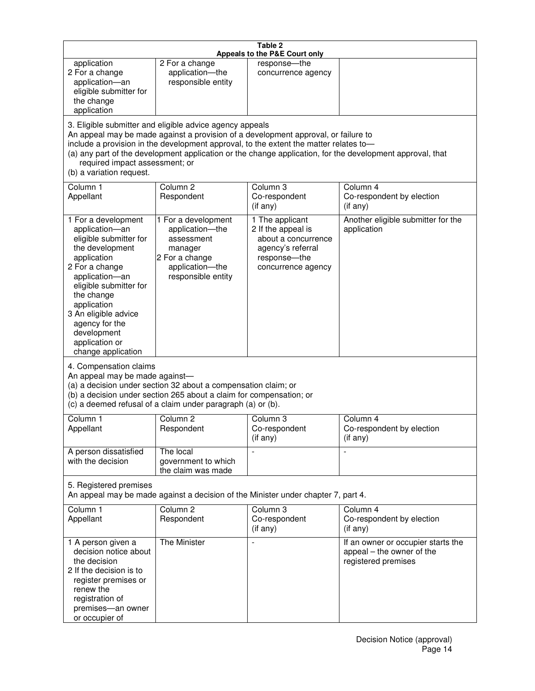| Table 2<br>Appeals to the P&E Court only                                                                                                                                                                                                                                                                                                                                                                           |                                                                                                                            |                                                                                                                         |                                                                                        |  |
|--------------------------------------------------------------------------------------------------------------------------------------------------------------------------------------------------------------------------------------------------------------------------------------------------------------------------------------------------------------------------------------------------------------------|----------------------------------------------------------------------------------------------------------------------------|-------------------------------------------------------------------------------------------------------------------------|----------------------------------------------------------------------------------------|--|
| application<br>2 For a change<br>application-an<br>eligible submitter for<br>the change<br>application                                                                                                                                                                                                                                                                                                             | 2 For a change<br>application-the<br>responsible entity                                                                    | response-the<br>concurrence agency                                                                                      |                                                                                        |  |
| 3. Eligible submitter and eligible advice agency appeals<br>An appeal may be made against a provision of a development approval, or failure to<br>include a provision in the development approval, to the extent the matter relates to-<br>(a) any part of the development application or the change application, for the development approval, that<br>required impact assessment; or<br>(b) a variation request. |                                                                                                                            |                                                                                                                         |                                                                                        |  |
| Column 1<br>Appellant                                                                                                                                                                                                                                                                                                                                                                                              | Column <sub>2</sub><br>Respondent                                                                                          | Column 3<br>Co-respondent<br>(if any)                                                                                   | Column 4<br>Co-respondent by election<br>(i f any)                                     |  |
| 1 For a development<br>application-an<br>eligible submitter for<br>the development<br>application<br>2 For a change<br>application-an<br>eligible submitter for<br>the change<br>application<br>3 An eligible advice<br>agency for the<br>development<br>application or<br>change application                                                                                                                      | 1 For a development<br>application-the<br>assessment<br>manager<br>2 For a change<br>application-the<br>responsible entity | 1 The applicant<br>2 If the appeal is<br>about a concurrence<br>agency's referral<br>response-the<br>concurrence agency | Another eligible submitter for the<br>application                                      |  |
| 4. Compensation claims<br>An appeal may be made against-<br>(a) a decision under section 32 about a compensation claim; or<br>(b) a decision under section 265 about a claim for compensation; or<br>(c) a deemed refusal of a claim under paragraph (a) or (b).                                                                                                                                                   |                                                                                                                            |                                                                                                                         |                                                                                        |  |
| Column 1<br>Appellant                                                                                                                                                                                                                                                                                                                                                                                              | Column 2<br>Respondent                                                                                                     | Column 3<br>Co-respondent<br>(if any)                                                                                   | Column 4<br>Co-respondent by election<br>(i f any)                                     |  |
| A person dissatisfied<br>with the decision                                                                                                                                                                                                                                                                                                                                                                         | The local<br>government to which<br>the claim was made                                                                     |                                                                                                                         | $\blacksquare$                                                                         |  |
| 5. Registered premises<br>An appeal may be made against a decision of the Minister under chapter 7, part 4.                                                                                                                                                                                                                                                                                                        |                                                                                                                            |                                                                                                                         |                                                                                        |  |
| Column <sub>1</sub><br>Appellant                                                                                                                                                                                                                                                                                                                                                                                   | Column <sub>2</sub><br>Respondent                                                                                          | Column <sub>3</sub><br>Co-respondent<br>(if any)                                                                        | Column 4<br>Co-respondent by election<br>(if any)                                      |  |
| 1 A person given a<br>decision notice about<br>the decision<br>2 If the decision is to<br>register premises or<br>renew the<br>registration of<br>premises-an owner<br>or occupier of                                                                                                                                                                                                                              | The Minister                                                                                                               | $\overline{\phantom{a}}$                                                                                                | If an owner or occupier starts the<br>appeal – the owner of the<br>registered premises |  |